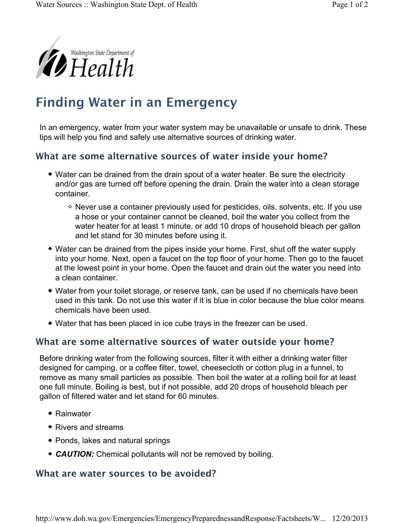

## **Finding Water in an Emergency**

In an emergency, water from your water system may be unavailable or unsafe to drink. These tips will help you find and safely use alternative sources of drinking water.

## **What are some alternative sources of water inside your home?**

- Water can be drained from the drain spout of a water heater. Be sure the electricity and/or gas are turned off before opening the drain. Drain the water into a clean storage container.
	- Never use a container previously used for pesticides, oils, solvents, etc. If you use a hose or your container cannot be cleaned, boil the water you collect from the water heater for at least 1 minute, or add 10 drops of household bleach per gallon and let stand for 30 minutes before using it.
- Water can be drained from the pipes inside your home. First, shut off the water supply into your home. Next, open a faucet on the top floor of your home. Then go to the faucet at the lowest point in your home. Open the faucet and drain out the water you need into a clean container.
- Water from your toilet storage, or reserve tank, can be used if no chemicals have been used in this tank. Do not use this water if it is blue in color because the blue color means chemicals have been used.
- Water that has been placed in ice cube trays in the freezer can be used.

## **What are some alternative sources of water outside your home?**

Before drinking water from the following sources, filter it with either a drinking water filter designed for camping, or a coffee filter, towel, cheesecloth or cotton plug in a funnel, to remove as many small particles as possible. Then boil the water at a rolling boil for at least one full minute. Boiling is best, but if not possible, add 20 drops of household bleach per gallon of filtered water and let stand for 60 minutes.

- Rainwater
- Rivers and streams
- Ponds, lakes and natural springs
- *CAUTION:* Chemical pollutants will not be removed by boiling.

## **What are water sources to be avoided?**